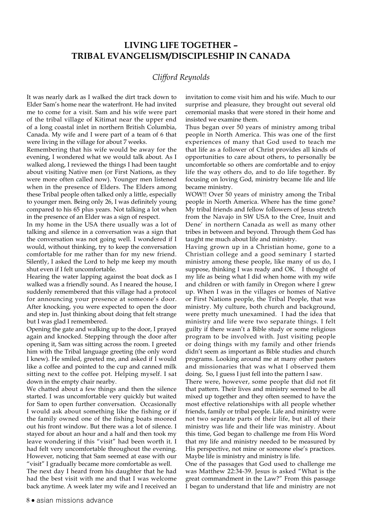## **LIVING LIFE TOGETHER – TRIBAL EVANGELISM/DISCIPLESHIP IN CANADA**

## *Clifford Reynolds*

It was nearly dark as I walked the dirt track down to Elder Sam's home near the waterfront. He had invited me to come for a visit. Sam and his wife were part of the tribal village of Kitimat near the upper end of a long coastal inlet in northern British Columbia, Canada. My wife and I were part of a team of 6 that were living in the village for about 7 weeks.

Remembering that his wife would be away for the evening, I wondered what we would talk about. As I walked along, I reviewed the things I had been taught about visiting Native men (or First Nations, as they were more often called now). Younger men listened when in the presence of Elders. The Elders among these Tribal people often talked only a little, especially to younger men. Being only 26, I was definitely young compared to his 65 plus years. Not talking a lot when in the presence of an Elder was a sign of respect.

In my home in the USA there usually was a lot of talking and silence in a conversation was a sign that the conversation was not going well. I wondered if I would, without thinking, try to keep the conversation comfortable for me rather than for my new friend. Silently, I asked the Lord to help me keep my mouth shut even if I felt uncomfortable.

Hearing the water lapping against the boat dock as I walked was a friendly sound. As I neared the house, I suddenly remembered that this village had a protocol for announcing your presence at someone's door. After knocking, you were expected to open the door and step in. Just thinking about doing that felt strange but I was glad I remembered.

Opening the gate and walking up to the door, I prayed again and knocked. Stepping through the door after opening it, Sam was sitting across the room. I greeted him with the Tribal language greeting (the only word I knew). He smiled, greeted me, and asked if I would like a coffee and pointed to the cup and canned milk sitting next to the coffee pot. Helping myself. I sat down in the empty chair nearby.

We chatted about a few things and then the silence started. I was uncomfortable very quickly but waited for Sam to open further conversation. Occasionally I would ask about something like the fishing or if the family owned one of the fishing boats moored out his front window. But there was a lot of silence. I stayed for about an hour and a half and then took my leave wondering if this "visit" had been worth it. I had felt very uncomfortable throughout the evening. However, noticing that Sam seemed at ease with our "visit" I gradually became more comfortable as well.

The next day I heard from his daughter that he had had the best visit with me and that I was welcome back anytime. A week later my wife and I received an invitation to come visit him and his wife. Much to our surprise and pleasure, they brought out several old ceremonial masks that were stored in their home and insisted we examine them.

Thus began over 50 years of ministry among tribal people in North America. This was one of the first experiences of many that God used to teach me that life as a follower of Christ provides all kinds of opportunities to care about others, to personally be uncomfortable so others are comfortable and to enjoy life the way others do, and to do life together. By focusing on loving God, ministry became life and life became ministry.

WOW!! Over 50 years of ministry among the Tribal people in North America. Where has the time gone? My tribal friends and fellow followers of Jesus stretch from the Navajo in SW USA to the Cree, Inuit and Dene' in northern Canada as well as many other tribes in between and beyond. Through them God has taught me much about life and ministry.

Having grown up in a Christian home, gone to a Christian college and a good seminary I started ministry among these people, like many of us do, I suppose, thinking I was ready and OK. I thought of my life as being what I did when home with my wife and children or with family in Oregon where I grew up. When I was in the villages or homes of Native or First Nations people, the Tribal People, that was ministry. My culture, both church and background, were pretty much unexamined. I had the idea that ministry and life were two separate things. I felt guilty if there wasn't a Bible study or some religious program to be involved with. Just visiting people or doing things with my family and other friends didn't seem as important as Bible studies and church programs. Looking around me at many other pastors and missionaries that was what I observed them doing. So, I guess I just fell into the pattern I saw.

There were, however, some people that did not fit that pattern. Their lives and ministry seemed to be all mixed up together and they often seemed to have the most effective relationships with all people whether friends, family or tribal people. Life and ministry were not two separate parts of their life, but all of their ministry was life and their life was ministry. About this time, God began to challenge me from His Word that my life and ministry needed to be measured by His perspective, not mine or someone else's practices. Maybe life is ministry and ministry is life.

One of the passages that God used to challenge me was Matthew 22:34-39. Jesus is asked "What is the great commandment in the Law?" From this passage I began to understand that life and ministry are not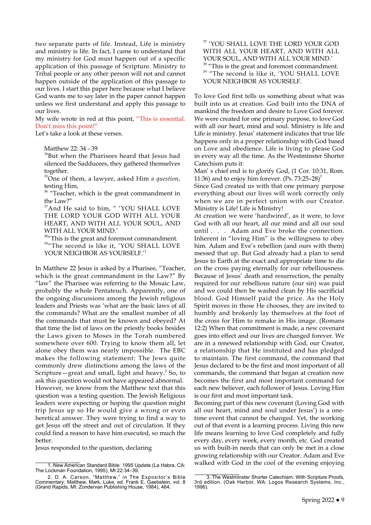two separate parts of life. Instead, Life is ministry and ministry is life. In fact, I came to understand that my ministry for God must happen out of a specific application of this passage of Scripture. Ministry to Tribal people or any other person will not and cannot happen outside of the application of this passage to our lives. I start this paper here because what I believe God wants me to say later in the paper cannot happen unless we first understand and apply this passage to our lives.

My wife wrote in red at this point, "This is essential. Don't miss this point!"

Let's take a look at these verses.

Matthew 22: 34 - 39

<sup>34</sup>But when the Pharisees heard that Jesus had silenced the Sadducees, they gathered themselves together.

35One of them, a lawyer, asked Him *a question*, testing Him,

<sup>36</sup> "Teacher, which is the great commandment in the Law?"

<sup>37</sup>And He said to him, " 'YOU SHALL LOVE THE LORD YOUR GOD WITH ALL YOUR HEART, AND WITH ALL YOUR SOUL, AND WITH ALL YOUR MIND.'

38" This is the great and foremost commandment. 39"The second is like it, 'YOU SHALL LOVE YOUR NEIGHBOR AS YOURSELF.<sup>1</sup>

In Matthew 22 Jesus is asked by a Pharisee, "Teacher, which is the great commandment in the Law?" By "law" the Pharisee was referring to the Mosaic Law, probably the whole Pentateuch. Apparently, one of the ongoing discussions among the Jewish religious leaders and Priests was 'what are the basic laws of all the commands? What are the smallest number of all the commands that must be known and obeyed? At that time the list of laws on the priestly books besides the Laws given to Moses in the Torah numbered somewhere over 600. Trying to know them all, let alone obey them was nearly impossible. The EBC makes the following statement: The Jews quite commonly drew distinctions among the laws of the Scripture – great and small, light and heavy. $2$  So, to ask this question would not have appeared abnormal. However, we know from the Matthew text that this question was a testing question. The Jewish Religious leaders were expecting or hoping the question might trip Jesus up so He would give a wrong or even heretical answer. They were trying to find a way to get Jesus off the street and out of circulation. If they could find a reason to have him executed, so much the better.

Jesus responded to the question, declaring

37 'YOU SHALL LOVE THE LORD YOUR GOD WITH ALL YOUR HEART, AND WITH ALL YOUR SOUL, AND WITH ALL YOUR MIND.' <sup>38</sup> "This is the great and foremost commandment. <sup>39</sup> "The second is like it, 'YOU SHALL LOVE YOUR NEIGHBOR AS YOURSELF.

To love God first tells us something about what was built into us at creation. God built into the DNA of mankind the freedom and desire to Love God forever. We were created for one primary purpose, to love God with all our heart, mind and soul. Ministry is life and Life is ministry. Jesus' statement indicates that true life happens only in a proper relationship with God based on Love and obedience. Life is living to please God in every way all the time. As the Westminster Shorter Catechism puts it:

Man' s chief end is to glorify God, (1 Cor. 10:31, Rom. 11:36) and to enjoy him forever.  $(P_s, 73:25-28)^3$ 

Since God created us with that one primary purpose everything about our lives will work correctly only when we are in perfect union with our Creator. Ministry is Life! Life is Ministry!

At creation we were 'hardwired', as it were, to love God with all our heart, all our mind and all our soul until . . . Adam and Eve broke the connection. Inherent in "loving Him" is the willingness to obey him. Adam and Eve's rebellion (and ours with them) messed that up. But God already had a plan to send Jesus to Earth at the exact and appropriate time to die on the cross paying eternally for our rebelliousness. Because of Jesus' death and resurrection, the penalty required for our rebellious nature (our sin) was paid and we could then be washed clean by His sacrificial blood. God Himself paid the price. As the Holy Spirit moves in those He chooses, they are invited to humbly and brokenly lay themselves at the foot of the cross for Him to remake in His image. (Romans 12:2) When that commitment is made, a new covenant goes into effect and our lives are changed forever. We are in a renewed relationship with God, our Creator, a relationship that He instituted and has pledged to maintain. The first command, the command that Jesus declared to be the first and most important of all commands, the command that began at creation now becomes the first and most important command for each new believer, each follower of Jesus. Loving Him is our first and most important task.

Becoming part of this new covenant (Loving God with all our heart, mind and soul under Jesus') is a onetime event that cannot be changed. Yet, the working out of that event is a learning process. Living this new life means learning to love God completely and fully every day, every week, every month, etc. God created us with built-in needs that can only be met in a close growing relationship with our Creator. Adam and Eve walked with God in the cool of the evening enjoying

<sup>1.</sup> New American Standard Bible: 1995 Update (La Habra, CA: The Lockman Foundation, 1995), Mt 22:34–39.

<sup>2.</sup> D. A. Carson, "Matthew," in The Expositor's Bible Commentary: Matthew, Mark, Luke, ed. Frank E. Gaebelein, vol. 8 (Grand Rapids, MI: Zondervan Publishing House, 1984), 464.

<sup>3.</sup> The Westminster Shorter Catechism: With Scripture Proofs, 3rd edition. (Oak Harbor, WA: Logos Research Systems, Inc., 1996).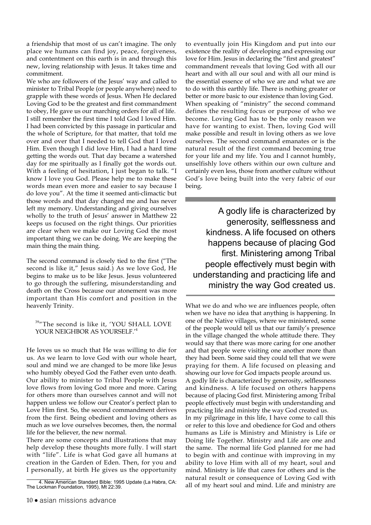a friendship that most of us can't imagine. The only place we humans can find joy, peace, forgiveness, and contentment on this earth is in and through this new, loving relationship with Jesus. It takes time and commitment.

We who are followers of the Jesus' way and called to minister to Tribal People (or people anywhere) need to grapple with these words of Jesus. When He declared Loving God to be the greatest and first commandment to obey, He gave us our marching orders for all of life. I still remember the first time I told God I loved Him. I had been convicted by this passage in particular and the whole of Scripture, for that matter, that told me over and over that I needed to tell God that I loved Him. Even though I did love Him, I had a hard time getting the words out. That day became a watershed day for me spiritually as I finally got the words out. With a feeling of hesitation, I just began to talk. "I know I love you God. Please help me to make these words mean even more and easier to say because I do love you". At the time it seemed anti-climactic but those words and that day changed me and has never left my memory. Understanding and giving ourselves wholly to the truth of Jesus' answer in Matthew 22 keeps us focused on the right things. Our priorities are clear when we make our Loving God the most important thing we can be doing. We are keeping the main thing the main thing.

The second command is closely tied to the first ("The second is like it," Jesus said.) As we love God, He begins to make us to be like Jesus. Jesus volunteered to go through the suffering, misunderstanding and death on the Cross because our atonement was more important than His comfort and position in the heavenly Trinity.

## 39"The second is like it, 'YOU SHALL LOVE YOUR NEIGHBOR AS YOURSELF.<sup>'4</sup>

He loves us so much that He was willing to die for us. As we learn to love God with our whole heart, soul and mind we are changed to be more like Jesus who humbly obeyed God the Father even unto death. Our ability to minister to Tribal People with Jesus love flows from loving God more and more. Caring for others more than ourselves cannot and will not happen unless we follow our Creator's perfect plan to Love Him first. So, the second commandment derives from the first. Being obedient and loving others as much as we love ourselves becomes, then, the normal life for the believer, the new normal.

There are some concepts and illustrations that may help develop these thoughts more fully. I will start with "life". Life is what God gave all humans at creation in the Garden of Eden. Then, for you and I personally, at birth He gives us the opportunity

to eventually join His Kingdom and put into our existence the reality of developing and expressing our love for Him. Jesus in declaring the "first and greatest" commandment reveals that loving God with all our heart and with all our soul and with all our mind is the essential essence of who we are and what we are to do with this earthly life. There is nothing greater or better or more basic to our existence than loving God. When speaking of "ministry" the second command defines the resulting focus or purpose of who we become. Loving God has to be the only reason we have for wanting to exist. Then, loving God will make possible and result in loving others as we love ourselves. The second command emanates or is the natural result of the first command becoming true for your life and my life. You and I cannot humbly, unselfishly love others within our own culture and certainly even less, those from another culture without God's love being built into the very fabric of our being.

A godly life is characterized by generosity, selflessness and kindness. A life focused on others happens because of placing God first. Ministering among Tribal people effectively must begin with understanding and practicing life and ministry the way God created us.

What we do and who we are influences people, often when we have no idea that anything is happening. In one of the Native villages, where we ministered, some of the people would tell us that our family's presence in the village changed the whole attitude there. They would say that there was more caring for one another and that people were visiting one another more than they had been. Some said they could tell that we were praying for them. A life focused on pleasing and showing our love for God impacts people around us. A godly life is characterized by generosity, selflessness and kindness. A life focused on others happens because of placing God first. Ministering among Tribal people effectively must begin with understanding and practicing life and ministry the way God created us. In my pilgrimage in this life, I have come to call this or refer to this love and obedience for God and others humans as Life is Ministry and Ministry is Life or Doing life Together. Ministry and Life are one and the same. The normal life God planned for me had to begin with and continue with improving in my ability to love Him with all of my heart, soul and mind. Ministry is life that cares for others and is the natural result or consequence of Loving God with all of my heart soul and mind. Life and ministry are

<sup>4.</sup> New American Standard Bible: 1995 Update (La Habra, CA: The Lockman Foundation, 1995), Mt 22:39.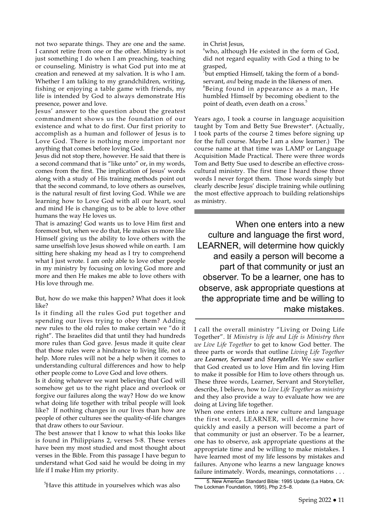not two separate things. They are one and the same. I cannot retire from one or the other. Ministry is not just something I do when I am preaching, teaching or counseling. Ministry is what God put into me at creation and renewed at my salvation. It is who I am. Whether I am talking to my grandchildren, writing, fishing or enjoying a table game with friends, my life is intended by God to always demonstrate His presence, power and love.

Jesus' answer to the question about the greatest commandment shows us the foundation of our existence and what to do first. Our first priority to accomplish as a human and follower of Jesus is to Love God. There is nothing more important nor anything that comes before loving God.

Jesus did not stop there, however. He said that there is a second command that is "like unto" or, in my words, comes from the first. The implication of Jesus' words along with a study of His training methods point out that the second command, to love others as ourselves, is the natural result of first loving God. While we are learning how to Love God with all our heart, soul and mind He is changing us to be able to love other humans the way He loves us.

That is amazing! God wants us to love Him first and foremost but, when we do that, He makes us more like Himself giving us the ability to love others with the same unselfish love Jesus showed while on earth. I am sitting here shaking my head as I try to comprehend what I just wrote. I am only able to love other people in my ministry by focusing on loving God more and more and then He makes me able to love others with His love through me.

But, how do we make this happen? What does it look like?

Is it finding all the rules God put together and spending our lives trying to obey them? Adding new rules to the old rules to make certain we "do it right". The Israelites did that until they had hundreds more rules than God gave. Jesus made it quite clear that those rules were a hindrance to living life, not a help. More rules will not be a help when it comes to understanding cultural differences and how to help other people come to Love God and love others.

Is it doing whatever we want believing that God will somehow get us to the right place and overlook or forgive our failures along the way? How do we know what doing life together with tribal people will look like? If nothing changes in our lives than how are people of other cultures see the quality-of-life changes that draw others to our Saviour.

The best answer that I know to what this looks like is found in Philippians 2, verses 5-8. These verses have been my most studied and most thought about verses in the Bible. From this passage I have begun to understand what God said he would be doing in my life if I make Him my priority.

<sup>5</sup>Have this attitude in yourselves which was also

in Christ Jesus,

 $6$ who, although He existed in the form of God, did not regard equality with God a thing to be

grasped, 7 but emptied Himself, taking the form of a bondservant, *and* being made in the likeness of men.

8 Being found in appearance as a man, He humbled Himself by becoming obedient to the point of death, even death on a cross.<sup>5</sup>

Years ago, I took a course in language acquisition taught by Tom and Betty Sue Brewster\*. (Actually, I took parts of the course 2 times before signing up for the full course. Maybe I am a slow learner.) The course name at that time was LAMP or Language Acquisition Made Practical. There were three words Tom and Betty Sue used to describe an effective crosscultural ministry. The first time I heard those three words I never forgot them. Those words simply but clearly describe Jesus' disciple training while outlining the most effective approach to building relationships as ministry.

When one enters into a new culture and language the first word, LEARNER, will determine how quickly and easily a person will become a part of that community or just an observer. To be a learner, one has to observe, ask appropriate questions at the appropriate time and be willing to make mistakes.

I call the overall ministry "Living or Doing Life Together". If *Ministry is life and Life is Ministry then we Live Life Together* to get to know God better. The three parts or words that outline *Living Life Together*  are *Learner, Servant* and *Storyteller.* We saw earlier that God created us to love Him and fin loving Him to make it possible for Him to love others through us. These three words, Learner, Servant and Storyteller, describe, I believe, how to *Live Life Together* as *ministry*  and they also provide a way to evaluate how we are doing at Living life together.

When one enters into a new culture and language the first word, LEARNER, will determine how quickly and easily a person will become a part of that community or just an observer. To be a learner, one has to observe, ask appropriate questions at the appropriate time and be willing to make mistakes. I have learned most of my life lessons by mistakes and failures. Anyone who learns a new language knows failure intimately. Words, meanings, connotations . . .

<sup>5.</sup> New American Standard Bible: 1995 Update (La Habra, CA: The Lockman Foundation, 1995), Php 2:5–8.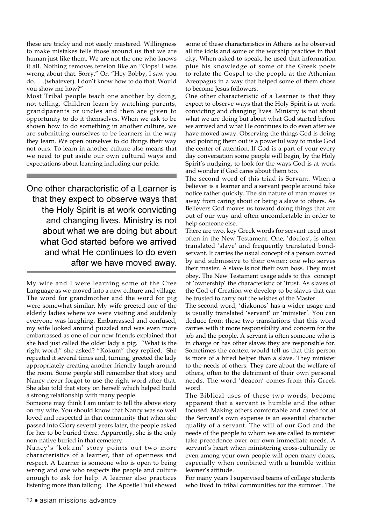these are tricky and not easily mastered. Willingness to make mistakes tells those around us that we are human just like them. We are not the one who knows it all. Nothing removes tension like an "Oops! I was wrong about that. Sorry." Or, "Hey Bobby, I saw you do. . .(whatever). I don't know how to do that. Would you show me how?"

Most Tribal people teach one another by doing, not telling. Children learn by watching parents, grandparents or uncles and then are given to opportunity to do it themselves. When we ask to be shown how to do something in another culture, we are submitting ourselves to be learners in the way they learn. We open ourselves to do things their way not ours. To learn in another culture also means that we need to put aside our own cultural ways and expectations about learning including our pride.

One other characteristic of a Learner is that they expect to observe ways that the Holy Spirit is at work convicting and changing lives. Ministry is not about what we are doing but about what God started before we arrived and what He continues to do even after we have moved away.

My wife and I were learning some of the Cree Language as we moved into a new culture and village. The word for grandmother and the word for pig were somewhat similar. My wife greeted one of the elderly ladies where we were visiting and suddenly everyone was laughing. Embarrassed and confused, my wife looked around puzzled and was even more embarrassed as one of our new friends explained that she had just called the older lady a pig. "What is the right word," she asked? "Kokum" they replied. She repeated it several times and, turning, greeted the lady appropriately creating another friendly laugh around the room. Some people still remember that story and Nancy never forgot to use the right word after that. She also told that story on herself which helped build a strong relationship with many people.

Someone may think I am unfair to tell the above story on my wife. You should know that Nancy was so well loved and respected in that community that when she passed into Glory several years later, the people asked for her to be buried there. Apparently, she is the only non-native buried in that cemetery.

Nancy's 'kokum' story points out two more characteristics of a learner, that of openness and respect. A Learner is someone who is open to being wrong and one who respects the people and culture enough to ask for help. A learner also practices listening more than talking. The Apostle Paul showed

some of these characteristics in Athens as he observed all the idols and some of the worship practices in that city. When asked to speak, he used that information plus his knowledge of some of the Greek poets to relate the Gospel to the people at the Athenian Areopagus in a way that helped some of them chose to become Jesus followers.

One other characteristic of a Learner is that they expect to observe ways that the Holy Spirit is at work convicting and changing lives. Ministry is not about what we are doing but about what God started before we arrived and what He continues to do even after we have moved away. Observing the things God is doing and pointing them out is a powerful way to make God the center of attention. If God is a part of your every day conversation some people will begin, by the Holy Spirit's nudging, to look for the ways God is at work and wonder if God cares about them too.

The second word of this triad is Servant. When a believer is a learner and a servant people around take notice rather quickly. The sin nature of man moves us away from caring about or being a slave to others. As Believers God moves us toward doing things that are out of our way and often uncomfortable in order to help someone else.

There are two, key Greek words for servant used most often in the New Testament. One, 'doulos', is often translated 'slave' and frequently translated bondservant. It carries the usual concept of a person owned by and submissive to their owner; one who serves their master. A slave is not their own boss. They must obey. The New Testament usage adds to this concept of 'ownership' the characteristic of 'trust. As slaves of the God of Creation we develop to be slaves that can be trusted to carry out the wishes of the Master.

The second word, 'diakonos' has a wider usage and is usually translated 'servant' or 'minister'. You can deduce from these two translations that this word carries with it more responsibility and concern for the job and the people. A servant is often someone who is in charge or has other slaves they are responsible for. Sometimes the context would tell us that this person is more of a hired helper than a slave. They minister to the needs of others. They care about the welfare of others, often to the detriment of their own personal needs. The word 'deacon' comes from this Greek word.

The Biblical uses of these two words, become apparent that a servant is humble and the other focused. Making others comfortable and cared for at the Servant's own expense is an essential character quality of a servant. The will of our God and the needs of the people to whom we are called to minister take precedence over our own immediate needs. A servant's heart when ministering cross-culturally or even among your own people will open many doors, especially when combined with a humble within learner's attitude.

For many years I supervised teams of college students who lived in tribal communities for the summer. The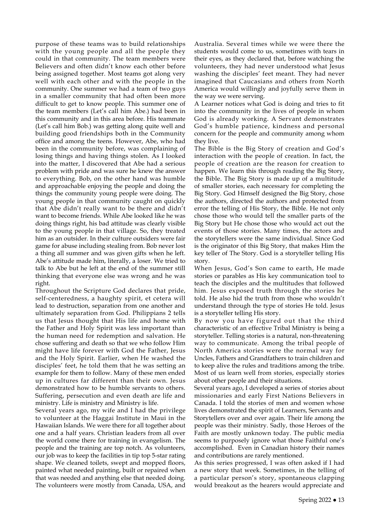purpose of these teams was to build relationships with the young people and all the people they could in that community. The team members were Believers and often didn't know each other before being assigned together. Most teams got along very well with each other and with the people in the community. One summer we had a team of two guys in a smaller community that had often been more difficult to get to know people. This summer one of the team members (Let's call him Abe.) had been in this community and in this area before. His teammate (Let's call him Bob.) was getting along quite well and building good friendships both in the Community office and among the teens. However, Abe, who had been in the community before, was complaining of losing things and having things stolen. As I looked into the matter, I discovered that Abe had a serious problem with pride and was sure he knew the answer to everything. Bob, on the other hand was humble and approachable enjoying the people and doing the things the community young people were doing. The young people in that community caught on quickly that Abe didn't really want to be there and didn't want to become friends. While Abe looked like he was doing things right, his bad attitude was clearly visible to the young people in that village. So, they treated him as an outsider. In their culture outsiders were fair game for abuse including stealing from. Bob never lost a thing all summer and was given gifts when he left. Abe's attitude made him, literally, a loser. We tried to talk to Abe but he left at the end of the summer still thinking that everyone else was wrong and he was right.

Throughout the Scripture God declares that pride, self-centeredness, a haughty spirit, et cetera will lead to destruction, separation from one another and ultimately separation from God. Philippians 2 tells us that Jesus thought that His life and home with the Father and Holy Spirit was less important than the human need for redemption and salvation. He chose suffering and death so that we who follow Him might have life forever with God the Father, Jesus and the Holy Spirit. Earlier, when He washed the disciples' feet, he told them that he was setting an example for them to follow. Many of these men ended up in cultures far different than their own. Jesus demonstrated how to be humble servants to others. Suffering, persecution and even death are life and ministry. Life is ministry and Ministry is life.

Several years ago, my wife and I had the privilege to volunteer at the Haggai Institute in Maui in the Hawaiian Islands. We were there for all together about one and a half years. Christian leaders from all over the world come there for training in evangelism. The people and the training are top notch. As volunteers, our job was to keep the facilities in tip top 5-star rating shape. We cleaned toilets, swept and mopped floors, painted what needed painting, built or repaired when that was needed and anything else that needed doing. The volunteers were mostly from Canada, USA, and Australia. Several times while we were there the students would come to us, sometimes with tears in their eyes, as they declared that, before watching the volunteers, they had never understood what Jesus washing the disciples' feet meant. They had never imagined that Caucasians and others from North America would willingly and joyfully serve them in the way we were serving.

A Learner notices what God is doing and tries to fit into the community in the lives of people in whom God is already working. A Servant demonstrates God's humble patience, kindness and personal concern for the people and community among whom they live.

The Bible is the Big Story of creation and God's interaction with the people of creation. In fact, the people of creation are the reason for creation to happen. We learn this through reading the Big Story, the Bible. The Big Story is made up of a multitude of smaller stories, each necessary for completing the Big Story. God Himself designed the Big Story, chose the authors, directed the authors and protected from error the telling of His Story, the Bible. He not only chose those who would tell the smaller parts of the Big Story but He chose those who would act out the events of those stories. Many times, the actors and the storytellers were the same individual. Since God is the originator of this Big Story, that makes Him the key teller of The Story. God is a storyteller telling His story.

When Jesus, God's Son came to earth, He made stories or parables as His key communication tool to teach the disciples and the multitudes that followed him. Jesus exposed truth through the stories he told. He also hid the truth from those who wouldn't understand through the type of stories He told. Jesus is a storyteller telling His story.

By now you have figured out that the third characteristic of an effective Tribal Ministry is being a storyteller. Telling stories is a natural, non-threatening way to communicate. Among the tribal people of North America stories were the normal way for Uncles, Fathers and Grandfathers to train children and to keep alive the rules and traditions among the tribe. Most of us learn well from stories, especially stories about other people and their situations.

Several years ago, I developed a series of stories about missionaries and early First Nations Believers in Canada. I told the stories of men and women whose lives demonstrated the spirit of Learners, Servants and Storytellers over and over again. Their life among the people was their ministry. Sadly, those Heroes of the Faith are mostly unknown today. The public media seems to purposely ignore what those Faithful one's accomplished. Even in Canadian history their names and contributions are rarely mentioned.

As this series progressed, I was often asked if I had a new story that week. Sometimes, in the telling of a particular person's story, spontaneous clapping would breakout as the hearers would appreciate and